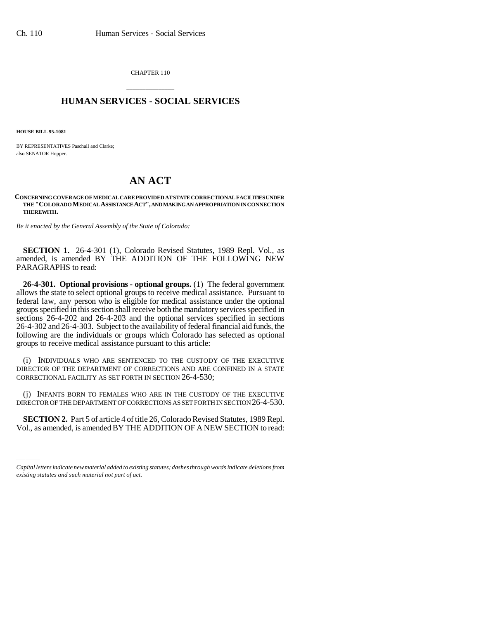CHAPTER 110

## \_\_\_\_\_\_\_\_\_\_\_\_\_\_\_ **HUMAN SERVICES - SOCIAL SERVICES** \_\_\_\_\_\_\_\_\_\_\_\_\_\_\_

**HOUSE BILL 95-1081**

BY REPRESENTATIVES Paschall and Clarke; also SENATOR Hopper.

## **AN ACT**

**CONCERNING COVERAGE OF MEDICAL CARE PROVIDED AT STATE CORRECTIONAL FACILITIES UNDER THE "COLORADO MEDICAL ASSISTANCE ACT", AND MAKING AN APPROPRIATION IN CONNECTION THEREWITH.**

*Be it enacted by the General Assembly of the State of Colorado:*

**SECTION 1.** 26-4-301 (1), Colorado Revised Statutes, 1989 Repl. Vol., as amended, is amended BY THE ADDITION OF THE FOLLOWING NEW PARAGRAPHS to read:

**26-4-301. Optional provisions - optional groups.** (1) The federal government allows the state to select optional groups to receive medical assistance. Pursuant to federal law, any person who is eligible for medical assistance under the optional groups specified in this section shall receive both the mandatory services specified in sections 26-4-202 and 26-4-203 and the optional services specified in sections 26-4-302 and 26-4-303. Subject to the availability of federal financial aid funds, the following are the individuals or groups which Colorado has selected as optional groups to receive medical assistance pursuant to this article:

(i) INDIVIDUALS WHO ARE SENTENCED TO THE CUSTODY OF THE EXECUTIVE DIRECTOR OF THE DEPARTMENT OF CORRECTIONS AND ARE CONFINED IN A STATE CORRECTIONAL FACILITY AS SET FORTH IN SECTION 26-4-530;

DIRECTOR OF THE DEPARTMENT OF CORRECTIONS AS SET FORTH IN SECTION 26-4-530. (j) INFANTS BORN TO FEMALES WHO ARE IN THE CUSTODY OF THE EXECUTIVE

**SECTION 2.** Part 5 of article 4 of title 26, Colorado Revised Statutes, 1989 Repl. Vol., as amended, is amended BY THE ADDITION OF A NEW SECTION to read:

*Capital letters indicate new material added to existing statutes; dashes through words indicate deletions from existing statutes and such material not part of act.*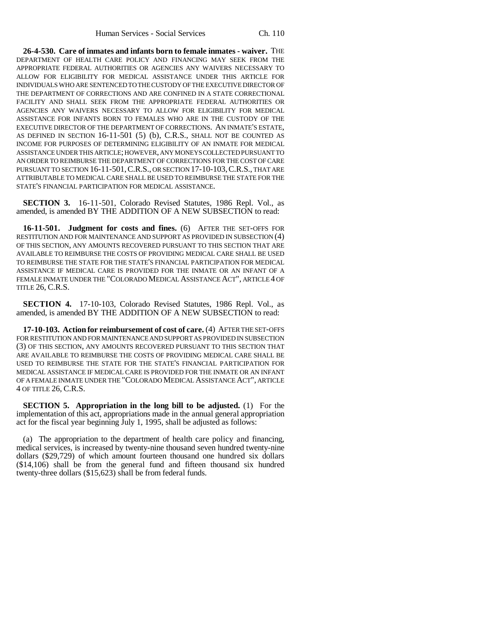**26-4-530. Care of inmates and infants born to female inmates - waiver.** THE DEPARTMENT OF HEALTH CARE POLICY AND FINANCING MAY SEEK FROM THE APPROPRIATE FEDERAL AUTHORITIES OR AGENCIES ANY WAIVERS NECESSARY TO ALLOW FOR ELIGIBILITY FOR MEDICAL ASSISTANCE UNDER THIS ARTICLE FOR INDIVIDUALS WHO ARE SENTENCED TO THE CUSTODY OF THE EXECUTIVE DIRECTOR OF THE DEPARTMENT OF CORRECTIONS AND ARE CONFINED IN A STATE CORRECTIONAL FACILITY AND SHALL SEEK FROM THE APPROPRIATE FEDERAL AUTHORITIES OR AGENCIES ANY WAIVERS NECESSARY TO ALLOW FOR ELIGIBILITY FOR MEDICAL ASSISTANCE FOR INFANTS BORN TO FEMALES WHO ARE IN THE CUSTODY OF THE EXECUTIVE DIRECTOR OF THE DEPARTMENT OF CORRECTIONS. AN INMATE'S ESTATE, AS DEFINED IN SECTION 16-11-501 (5) (b), C.R.S., SHALL NOT BE COUNTED AS INCOME FOR PURPOSES OF DETERMINING ELIGIBILITY OF AN INMATE FOR MEDICAL ASSISTANCE UNDER THIS ARTICLE; HOWEVER, ANY MONEYS COLLECTED PURSUANT TO AN ORDER TO REIMBURSE THE DEPARTMENT OF CORRECTIONS FOR THE COST OF CARE PURSUANT TO SECTION 16-11-501,C.R.S., OR SECTION 17-10-103,C.R.S., THAT ARE ATTRIBUTABLE TO MEDICAL CARE SHALL BE USED TO REIMBURSE THE STATE FOR THE STATE'S FINANCIAL PARTICIPATION FOR MEDICAL ASSISTANCE.

**SECTION 3.** 16-11-501, Colorado Revised Statutes, 1986 Repl. Vol., as amended, is amended BY THE ADDITION OF A NEW SUBSECTION to read:

**16-11-501. Judgment for costs and fines.** (6) AFTER THE SET-OFFS FOR RESTITUTION AND FOR MAINTENANCE AND SUPPORT AS PROVIDED IN SUBSECTION (4) OF THIS SECTION, ANY AMOUNTS RECOVERED PURSUANT TO THIS SECTION THAT ARE AVAILABLE TO REIMBURSE THE COSTS OF PROVIDING MEDICAL CARE SHALL BE USED TO REIMBURSE THE STATE FOR THE STATE'S FINANCIAL PARTICIPATION FOR MEDICAL ASSISTANCE IF MEDICAL CARE IS PROVIDED FOR THE INMATE OR AN INFANT OF A FEMALE INMATE UNDER THE "COLORADO MEDICAL ASSISTANCE ACT", ARTICLE 4 OF TITLE 26, C.R.S.

**SECTION 4.** 17-10-103, Colorado Revised Statutes, 1986 Repl. Vol., as amended, is amended BY THE ADDITION OF A NEW SUBSECTION to read:

**17-10-103. Action for reimbursement of cost of care.** (4) AFTER THE SET-OFFS FOR RESTITUTION AND FOR MAINTENANCE AND SUPPORT AS PROVIDED IN SUBSECTION (3) OF THIS SECTION, ANY AMOUNTS RECOVERED PURSUANT TO THIS SECTION THAT ARE AVAILABLE TO REIMBURSE THE COSTS OF PROVIDING MEDICAL CARE SHALL BE USED TO REIMBURSE THE STATE FOR THE STATE'S FINANCIAL PARTICIPATION FOR MEDICAL ASSISTANCE IF MEDICAL CARE IS PROVIDED FOR THE INMATE OR AN INFANT OF A FEMALE INMATE UNDER THE "COLORADO MEDICAL ASSISTANCE ACT", ARTICLE 4 OF TITLE 26, C.R.S.

**SECTION 5. Appropriation in the long bill to be adjusted.** (1) For the implementation of this act, appropriations made in the annual general appropriation act for the fiscal year beginning July 1, 1995, shall be adjusted as follows:

(a) The appropriation to the department of health care policy and financing, medical services, is increased by twenty-nine thousand seven hundred twenty-nine dollars (\$29,729) of which amount fourteen thousand one hundred six dollars (\$14,106) shall be from the general fund and fifteen thousand six hundred twenty-three dollars (\$15,623) shall be from federal funds.